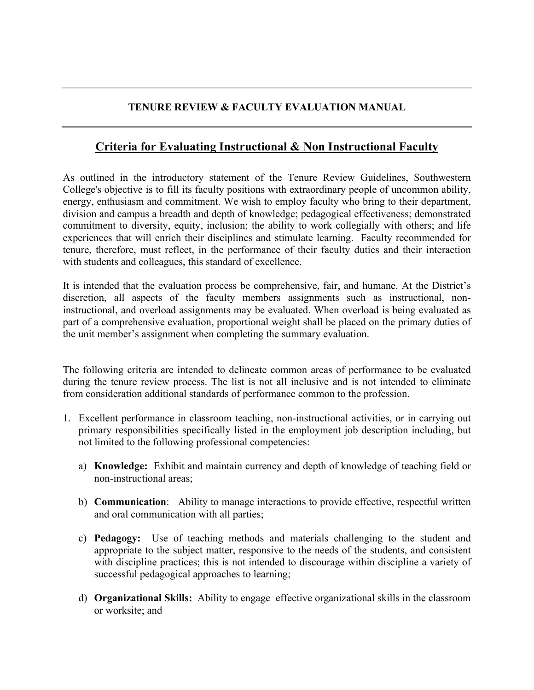## **TENURE REVIEW & FACULTY EVALUATION MANUAL**

## **Criteria for Evaluating Instructional & Non Instructional Faculty**

As outlined in the introductory statement of the Tenure Review Guidelines, Southwestern College's objective is to fill its faculty positions with extraordinary people of uncommon ability, energy, enthusiasm and commitment. We wish to employ faculty who bring to their department, division and campus a breadth and depth of knowledge; pedagogical effectiveness; demonstrated commitment to diversity, equity, inclusion; the ability to work collegially with others; and life experiences that will enrich their disciplines and stimulate learning. Faculty recommended for tenure, therefore, must reflect, in the performance of their faculty duties and their interaction with students and colleagues, this standard of excellence.

It is intended that the evaluation process be comprehensive, fair, and humane. At the District's discretion, all aspects of the faculty members assignments such as instructional, noninstructional, and overload assignments may be evaluated. When overload is being evaluated as part of a comprehensive evaluation, proportional weight shall be placed on the primary duties of the unit member's assignment when completing the summary evaluation.

The following criteria are intended to delineate common areas of performance to be evaluated during the tenure review process. The list is not all inclusive and is not intended to eliminate from consideration additional standards of performance common to the profession.

- 1. Excellent performance in classroom teaching, non-instructional activities, or in carrying out primary responsibilities specifically listed in the employment job description including, but not limited to the following professional competencies:
	- a) **Knowledge:** Exhibit and maintain currency and depth of knowledge of teaching field or non-instructional areas;
	- b) **Communication**: Ability to manage interactions to provide effective, respectful written and oral communication with all parties;
	- c) **Pedagogy:** Use of teaching methods and materials challenging to the student and appropriate to the subject matter, responsive to the needs of the students, and consistent with discipline practices; this is not intended to discourage within discipline a variety of successful pedagogical approaches to learning;
	- d) **Organizational Skills:** Ability to engage effective organizational skills in the classroom or worksite; and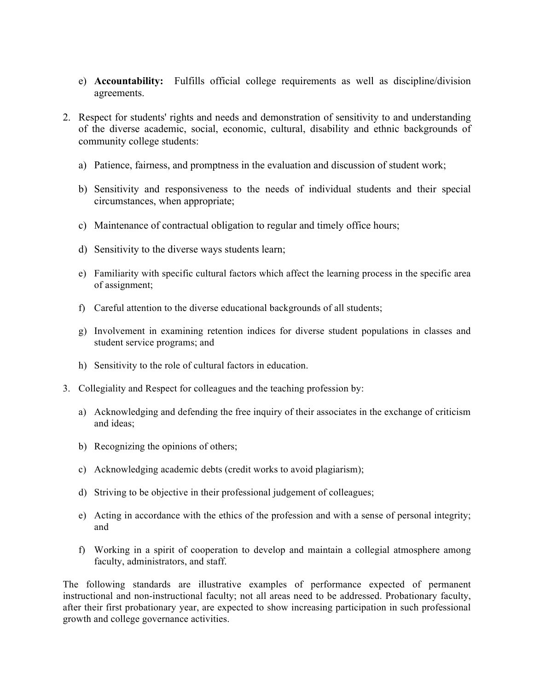- e) **Accountability:** Fulfills official college requirements as well as discipline/division agreements.
- 2. Respect for students' rights and needs and demonstration of sensitivity to and understanding of the diverse academic, social, economic, cultural, disability and ethnic backgrounds of community college students:
	- a) Patience, fairness, and promptness in the evaluation and discussion of student work;
	- b) Sensitivity and responsiveness to the needs of individual students and their special circumstances, when appropriate;
	- c) Maintenance of contractual obligation to regular and timely office hours;
	- d) Sensitivity to the diverse ways students learn;
	- e) Familiarity with specific cultural factors which affect the learning process in the specific area of assignment;
	- f) Careful attention to the diverse educational backgrounds of all students;
	- g) Involvement in examining retention indices for diverse student populations in classes and student service programs; and
	- h) Sensitivity to the role of cultural factors in education.
- 3. Collegiality and Respect for colleagues and the teaching profession by:
	- a) Acknowledging and defending the free inquiry of their associates in the exchange of criticism and ideas;
	- b) Recognizing the opinions of others;
	- c) Acknowledging academic debts (credit works to avoid plagiarism);
	- d) Striving to be objective in their professional judgement of colleagues;
	- e) Acting in accordance with the ethics of the profession and with a sense of personal integrity; and
	- f) Working in a spirit of cooperation to develop and maintain a collegial atmosphere among faculty, administrators, and staff.

The following standards are illustrative examples of performance expected of permanent instructional and non-instructional faculty; not all areas need to be addressed. Probationary faculty, after their first probationary year, are expected to show increasing participation in such professional growth and college governance activities.